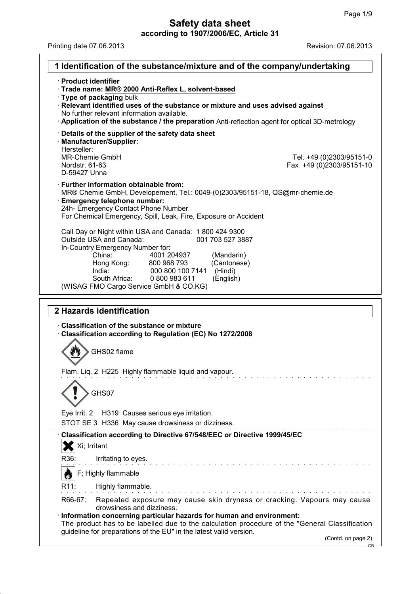Printing date 07.06.2013 **Revision: 07.06.2013** 

| · Product identifier<br>Trade name: MR® 2000 Anti-Reflex L, solvent-based<br>Type of packaging bulk                                                                                                                                                                                                                                                            |
|----------------------------------------------------------------------------------------------------------------------------------------------------------------------------------------------------------------------------------------------------------------------------------------------------------------------------------------------------------------|
| Relevant identified uses of the substance or mixture and uses advised against<br>No further relevant information available.<br>$\cdot$ Application of the substance / the preparation Anti-reflection agent for optical 3D-metrology                                                                                                                           |
| Details of the supplier of the safety data sheet<br>· Manufacturer/Supplier:<br>Hersteller:                                                                                                                                                                                                                                                                    |
| <b>MR-Chemie GmbH</b><br>Tel. +49 (0)2303/95151-0<br>Nordstr. 61-63<br>Fax +49 (0)2303/95151-10<br>D-59427 Unna                                                                                                                                                                                                                                                |
| · Further information obtainable from:<br>MR® Chemie GmbH, Developement, Tel.: 0049-(0)2303/95151-18, QS@mr-chemie.de<br><b>Emergency telephone number:</b><br>24h- Emergency Contact Phone Number<br>For Chemical Emergency, Spill, Leak, Fire, Exposure or Accident                                                                                          |
| Call Day or Night within USA and Canada: 1800 424 9300<br>Outside USA and Canada:<br>001 703 527 3887<br>In-Country Emergency Number for:<br>China:<br>4001 204937<br>(Mandarin)<br>Hong Kong:<br>(Cantonese)<br>800 968 793<br>India:<br>000 800 100 7141<br>(Hindi)<br>South Africa:<br>0 800 983 611<br>(English)<br>(WISAG FMO Cargo Service GmbH & CO.KG) |
| 2 Hazards identification                                                                                                                                                                                                                                                                                                                                       |
| $\cdot$ Classification of the substance or mixture<br>Classification according to Regulation (EC) No 1272/2008                                                                                                                                                                                                                                                 |
| GHS02 flame                                                                                                                                                                                                                                                                                                                                                    |
| Flam. Lig. 2 H225 Highly flammable liquid and vapour.                                                                                                                                                                                                                                                                                                          |
| GHS07                                                                                                                                                                                                                                                                                                                                                          |
| Eye Irrit. 2<br>H319 Causes serious eye irritation.<br>STOT SE 3 H336 May cause drowsiness or dizziness.                                                                                                                                                                                                                                                       |
| Classification according to Directive 67/548/EEC or Directive 1999/45/EC<br>Xi; Irritant                                                                                                                                                                                                                                                                       |
| R36:<br>Irritating to eyes.                                                                                                                                                                                                                                                                                                                                    |
| F; Highly flammable                                                                                                                                                                                                                                                                                                                                            |
| Highly flammable.<br>R11:                                                                                                                                                                                                                                                                                                                                      |
| Repeated exposure may cause skin dryness or cracking. Vapours may cause<br>R66-67:<br>drowsiness and dizziness.                                                                                                                                                                                                                                                |
| Information concerning particular hazards for human and environment:                                                                                                                                                                                                                                                                                           |
| The product has to be labelled due to the calculation procedure of the "General Classification<br>guideline for preparations of the EU" in the latest valid version.                                                                                                                                                                                           |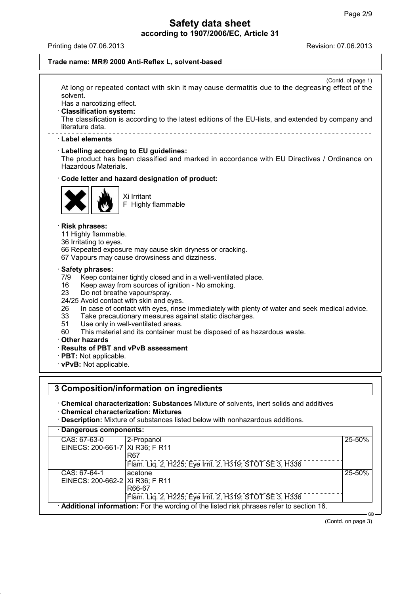Printing date 07.06.2013 Revision: 07.06.2013

#### **Trade name: MR® 2000 Anti-Reflex L, solvent-based**

(Contd. of page 1) At long or repeated contact with skin it may cause dermatitis due to the degreasing effect of the solvent.

Has a narcotizing effect.

**Classification system:**

The classification is according to the latest editions of the EU-lists, and extended by company and literature data.

#### **Label elements**

**Labelling according to EU guidelines:**

The product has been classified and marked in accordance with EU Directives / Ordinance on Hazardous Materials.

**Code letter and hazard designation of product:**



Xi Irritant F Highly flammable

#### **Risk phrases:**

11 Highly flammable.

- 36 Irritating to eyes.
- 66 Repeated exposure may cause skin dryness or cracking.
- 67 Vapours may cause drowsiness and dizziness.

# **Safety phrases:**<br>7/9 Keep conta

- Keep container tightly closed and in a well-ventilated place.
- 16 Keep away from sources of ignition No smoking.
- 23 Do not breathe vapour/spray.
- 24/25 Avoid contact with skin and eyes.
- 26 In case of contact with eyes, rinse immediately with plenty of water and seek medical advice.
- 33 Take precautionary measures against static discharges.<br>51 Use only in well-ventilated areas.
- 51 Use only in well-ventilated areas.<br>60 This material and its container mi
- This material and its container must be disposed of as hazardous waste.

#### **Other hazards**

- **Results of PBT and vPvB assessment**
- **PBT:** Not applicable.
- **vPvB:** Not applicable.

## **3 Composition/information on ingredients**

- **Chemical characterization: Substances** Mixture of solvents, inert solids and additives
- **Chemical characterization: Mixtures**
- **Description:** Mixture of substances listed below with nonhazardous additions.

#### **Dangerous components:**

| $\sqrt{2-P}$ ropanol                                                                    | 25-50% |
|-----------------------------------------------------------------------------------------|--------|
| EINECS: 200-661-7   Xi R36; F R11                                                       |        |
| R67                                                                                     |        |
| Flam. Liq. 2, H225; Eye Irrit. 2, H319; STOT SE 3, H336                                 |        |
| acetone                                                                                 | 25-50% |
| EINECS: 200-662-2   Xi R36; F R11                                                       |        |
| R66-67                                                                                  |        |
| Flam. Lig. 2, H225; Eye Irrit. 2, H319; STOT SE 3, H336                                 |        |
| Additional information: For the wording of the listed risk phrases refer to section 16. | CD     |
|                                                                                         |        |

(Contd. on page 3)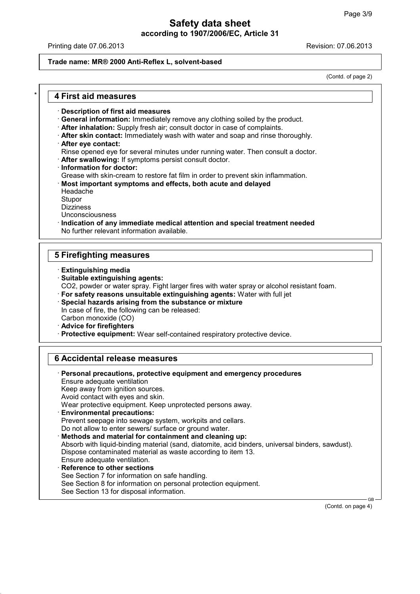Printing date 07.06.2013 Revision: 07.06.2013

#### **Trade name: MR® 2000 Anti-Reflex L, solvent-based**

(Contd. of page 2)

## \* **4 First aid measures**

- **Description of first aid measures**
- **General information:** Immediately remove any clothing soiled by the product.
- **After inhalation:** Supply fresh air; consult doctor in case of complaints.
- **After skin contact:** Immediately wash with water and soap and rinse thoroughly.
- **After eye contact:**
- Rinse opened eye for several minutes under running water. Then consult a doctor.
- **After swallowing:** If symptoms persist consult doctor.
- **Information for doctor:**

Grease with skin-cream to restore fat film in order to prevent skin inflammation.

- **Most important symptoms and effects, both acute and delayed** Headache **Stupor Dizziness**
- Unconsciousness
- **Indication of any immediate medical attention and special treatment needed** No further relevant information available.

## **5 Firefighting measures**

- **Extinguishing media**
- **Suitable extinguishing agents:**
- CO2, powder or water spray. Fight larger fires with water spray or alcohol resistant foam.
- **For safety reasons unsuitable extinguishing agents:** Water with full jet
- **Special hazards arising from the substance or mixture** In case of fire, the following can be released:
- Carbon monoxide (CO)
- **Advice for firefighters**
- **Protective equipment:** Wear self-contained respiratory protective device.

## **6 Accidental release measures**

| · Personal precautions, protective equipment and emergency procedures                            |
|--------------------------------------------------------------------------------------------------|
| Ensure adequate ventilation                                                                      |
| Keep away from ignition sources.                                                                 |
| Avoid contact with eyes and skin.                                                                |
| Wear protective equipment. Keep unprotected persons away.                                        |
| <b>Environmental precautions:</b>                                                                |
| Prevent seepage into sewage system, workpits and cellars.                                        |
| Do not allow to enter sewers/ surface or ground water.                                           |
| · Methods and material for containment and cleaning up:                                          |
| Absorb with liquid-binding material (sand, diatomite, acid binders, universal binders, sawdust). |
| Dispose contaminated material as waste according to item 13.                                     |
| Ensure adequate ventilation.                                                                     |
| $\cdot$ Reference to other sections                                                              |
| See Section 7 for information on safe handling.                                                  |
| See Section 8 for information on personal protection equipment.                                  |
| See Section 13 for disposal information.                                                         |

(Contd. on page 4)

GB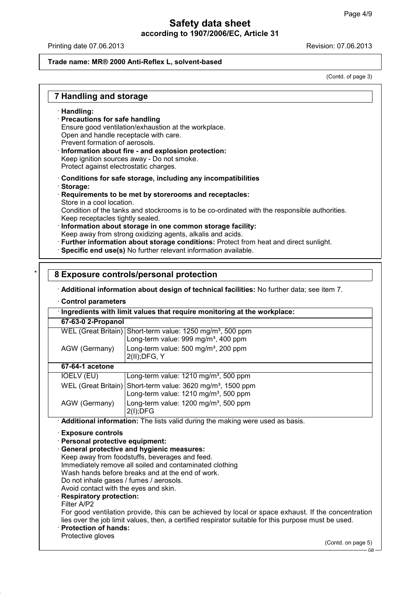Printing date 07.06.2013 Revision: 07.06.2013

### **Trade name: MR® 2000 Anti-Reflex L, solvent-based**

(Contd. of page 3)

## **7 Handling and storage Handling: Precautions for safe handling** Ensure good ventilation/exhaustion at the workplace. Open and handle receptacle with care. Prevent formation of aerosols. **Information about fire - and explosion protection:** Keep ignition sources away - Do not smoke. Protect against electrostatic charges. **Conditions for safe storage, including any incompatibilities Storage: Requirements to be met by storerooms and receptacles:** Store in a cool location. Condition of the tanks and stockrooms is to be co-ordinated with the responsible authorities. Keep receptacles tightly sealed. **Information about storage in one common storage facility:** Keep away from strong oxidizing agents, alkalis and acids. **Further information about storage conditions:** Protect from heat and direct sunlight. **Specific end use(s)** No further relevant information available.

## \* **8 Exposure controls/personal protection**

**Additional information about design of technical facilities:** No further data; see item 7.

#### **Control parameters**

| · Ingredients with limit values that require monitoring at the workplace: |                                                                                                                              |  |
|---------------------------------------------------------------------------|------------------------------------------------------------------------------------------------------------------------------|--|
| 67-63-0 2-Propanol                                                        |                                                                                                                              |  |
|                                                                           | WEL (Great Britain) Short-term value: 1250 mg/m <sup>3</sup> , 500 ppm<br>Long-term value: 999 mg/m <sup>3</sup> , 400 ppm   |  |
| AGW (Germany)                                                             | Long-term value: 500 mg/m <sup>3</sup> , 200 ppm<br>$2(II);$ DFG, Y                                                          |  |
| 67-64-1 acetone                                                           |                                                                                                                              |  |
| <b>IOELV (EU)</b>                                                         | Long-term value: $1210$ mg/m <sup>3</sup> , 500 ppm                                                                          |  |
|                                                                           | WEL (Great Britain) Short-term value: 3620 mg/m <sup>3</sup> , 1500 ppm<br>Long-term value: 1210 mg/m <sup>3</sup> , 500 ppm |  |
| AGW (Germany)                                                             | Long-term value: $1200$ mg/m <sup>3</sup> , 500 ppm<br>$2(I)$ ; DFG                                                          |  |
|                                                                           | لمتمويل ومراجع ويربون ومسترام وسيميا والرواح والمتامين ولمال وحاتي والمسترقة والمستحكمين المسملة المامي                      |  |

**Additional information:** The lists valid during the making were used as basis.

#### **Exposure controls**

- **Personal protective equipment:**
- **General protective and hygienic measures:**

Keep away from foodstuffs, beverages and feed.

Immediately remove all soiled and contaminated clothing

Wash hands before breaks and at the end of work.

Do not inhale gases / fumes / aerosols.

Avoid contact with the eyes and skin.

# **Respiratory protection:**

Filter A/P2

For good ventilation provide, this can be achieved by local or space exhaust. If the concentration lies over the job limit values, then, a certified respirator suitable for this purpose must be used.

# **Protection of hands:**

Protective gloves

(Contd. on page 5)

GB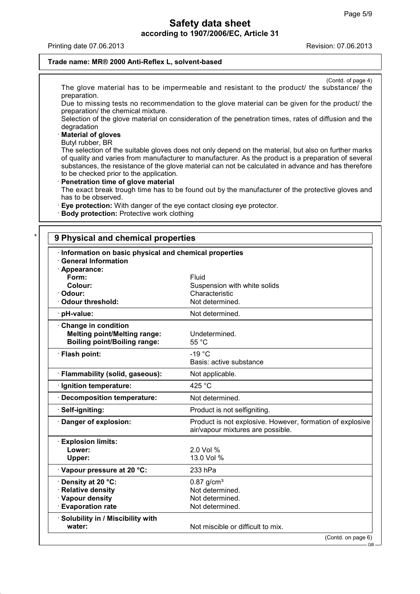Printing date 07.06.2013 Revision: 07.06.2013

#### **Trade name: MR® 2000 Anti-Reflex L, solvent-based**

(Contd. of page 4) The glove material has to be impermeable and resistant to the product/ the substance/ the preparation.

Due to missing tests no recommendation to the glove material can be given for the product/ the preparation/ the chemical mixture.

Selection of the glove material on consideration of the penetration times, rates of diffusion and the degradation

## **Material of gloves**

Butyl rubber, BR

The selection of the suitable gloves does not only depend on the material, but also on further marks of quality and varies from manufacturer to manufacturer. As the product is a preparation of several substances, the resistance of the glove material can not be calculated in advance and has therefore to be checked prior to the application.

#### **Penetration time of glove material**

The exact break trough time has to be found out by the manufacturer of the protective gloves and has to be observed.

**Eye protection:** With danger of the eye contact closing eye protector.

**Body protection:** Protective work clothing

\* **9 Physical and chemical properties Information on basic physical and chemical properties General Information Appearance: Form:** Fluid Suspension with white solids **Odour:** Characteristic **Odour threshold:** Not determined. **pH-value:** Not determined. **Change in condition Melting point/Melting range:** Undetermined. **Boiling point/Boiling range:** 55 °C Flash point:  $-19 \text{ °C}$ Basis: active substance **Flammability (solid, gaseous):** Not applicable. **Ignition temperature:** 425 °C **Decomposition temperature:** Not determined. **Self-igniting:** Product is not selfigniting. **Danger of explosion:** Product is not explosive. However, formation of explosive air/vapour mixtures are possible. **Explosion limits: Lower:** 2.0 Vol % **Upper:** 13.0 Vol % **Vapour pressure at 20 °C:** 233 hPa **Density at 20 °C:** 0.87 g/cm<sup>3</sup><br> **Relative density** Not determined. **Relative density Vapour density** Not determined. **Evaporation rate** Not determined. **Solubility in / Miscibility with water:**  $\blacksquare$  Not miscible or difficult to mix. (Contd. on page 6)

GB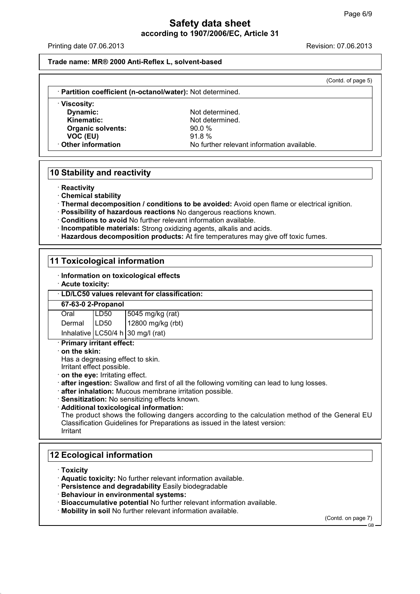Printing date 07.06.2013 Revision: 07.06.2013

## **Trade name: MR® 2000 Anti-Reflex L, solvent-based**

| · Partition coefficient (n-octanol/water): Not determined. |                                            |  |
|------------------------------------------------------------|--------------------------------------------|--|
| · Viscosity:                                               |                                            |  |
| Dynamic:                                                   | Not determined.                            |  |
| Kinematic:                                                 | Not determined.                            |  |
| <b>Organic solvents:</b>                                   | 90.0%                                      |  |
| VOC (EU)                                                   | 91.8%                                      |  |
| Other information                                          | No further relevant information available. |  |

## **10 Stability and reactivity**

**Reactivity**

**Chemical stability**

**Thermal decomposition / conditions to be avoided:** Avoid open flame or electrical ignition.

- **Possibility of hazardous reactions** No dangerous reactions known.
- **Conditions to avoid** No further relevant information available.
- **Incompatible materials:** Strong oxidizing agents, alkalis and acids.

**Hazardous decomposition products:** At fire temperatures may give off toxic fumes.

## **11 Toxicological information**

# **Information on toxicological effects**

**Acute toxicity:**

## **LD/LC50 values relevant for classification:**

| 67-63-0 2-Propanol         |       |                                     |
|----------------------------|-------|-------------------------------------|
| Oral                       | LD50  | 5045 mg/kg (rat)                    |
| Dermal                     | ILD50 | 12800 mg/kg (rbt)                   |
|                            |       | Inhalative $LC50/4 h$ 30 mg/l (rat) |
| · Primary irritant effect: |       |                                     |
| $\cdot$ on the skin:       |       | Hee a degreesing offest to okin     |

Has a degreasing effect to skin. Irritant effect possible.

- **on the eye:** Irritating effect.
- **after ingestion:** Swallow and first of all the following vomiting can lead to lung losses.
- **after inhalation:** Mucous membrane irritation possible.
- **Sensitization:** No sensitizing effects known.
- **Additional toxicological information:**

The product shows the following dangers according to the calculation method of the General EU Classification Guidelines for Preparations as issued in the latest version: Irritant

# **12 Ecological information**

#### **Toxicity**

- **Aquatic toxicity:** No further relevant information available.
- **Persistence and degradability** Easily biodegradable
- **Behaviour in environmental systems:**
- **Bioaccumulative potential** No further relevant information available.
- **Mobility in soil** No further relevant information available.

(Contd. on page 7)

GB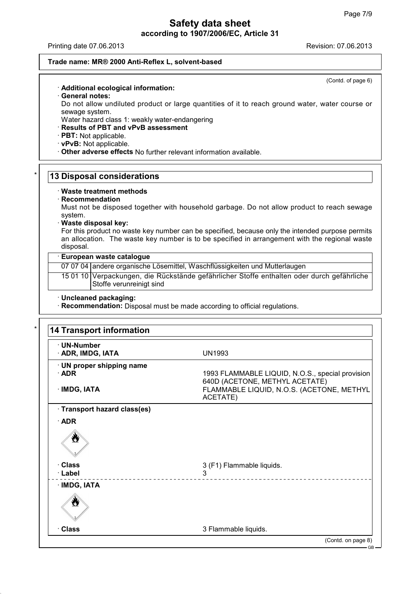Printing date 07.06.2013 Revision: 07.06.2013

(Contd. of page 6)

#### **Trade name: MR® 2000 Anti-Reflex L, solvent-based**

## **Additional ecological information:**

- **General notes:**
- Do not allow undiluted product or large quantities of it to reach ground water, water course or sewage system.

Water hazard class 1: weakly water-endangering

- **Results of PBT and vPvB assessment**
- **PBT:** Not applicable.
- **vPvB:** Not applicable.
- **Other adverse effects** No further relevant information available.

## **13 Disposal considerations**

#### **Waste treatment methods**

#### **Recommendation**

Must not be disposed together with household garbage. Do not allow product to reach sewage system.

#### **Waste disposal key:**

For this product no waste key number can be specified, because only the intended purpose permits an allocation. The waste key number is to be specified in arrangement with the regional waste disposal.

#### **European waste catalogue**

07 07 04 andere organische Lösemittel, Waschflüssigkeiten und Mutterlaugen

15 01 10 Verpackungen, die Rückstände gefährlicher Stoffe enthalten oder durch gefährliche Stoffe verunreinigt sind

#### **Uncleaned packaging:**

**Recommendation:** Disposal must be made according to official regulations.

| · UN-Number                  |                                                                                    |
|------------------------------|------------------------------------------------------------------------------------|
| · ADR, IMDG, IATA            | <b>UN1993</b>                                                                      |
| · UN proper shipping name    |                                                                                    |
| $\cdot$ ADR                  | 1993 FLAMMABLE LIQUID, N.O.S., special provision<br>640D (ACETONE, METHYL ACETATE) |
| · IMDG, IATA                 | FLAMMABLE LIQUID, N.O.S. (ACETONE, METHYL                                          |
|                              | ACETATE)                                                                           |
| · Transport hazard class(es) |                                                                                    |
| $\cdot$ ADR                  |                                                                                    |
| Ŵ                            |                                                                                    |
| · Class                      | 3 (F1) Flammable liquids.                                                          |
| · Label                      | 3                                                                                  |
| · IMDG, IATA                 |                                                                                    |
| Ő                            |                                                                                    |
| · Class                      | 3 Flammable liquids.                                                               |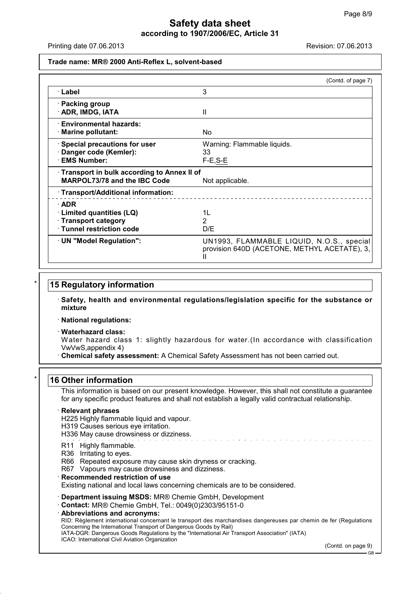Printing date 07.06.2013 Revision: 07.06.2013

## **Trade name: MR® 2000 Anti-Reflex L, solvent-based**

|                                            | (Contd. of page 7)                                                                        |
|--------------------------------------------|-------------------------------------------------------------------------------------------|
| · Label                                    | 3                                                                                         |
| · Packing group                            |                                                                                           |
| · ADR, IMDG, IATA                          | Ш                                                                                         |
| · Environmental hazards:                   |                                                                                           |
| $\cdot$ Marine pollutant:                  | No.                                                                                       |
| Special precautions for user               | Warning: Flammable liquids.                                                               |
| Danger code (Kemler):                      | 33                                                                                        |
| <b>EMS Number:</b>                         | $F-E$ , $S-E$                                                                             |
| Transport in bulk according to Annex II of |                                                                                           |
| <b>MARPOL73/78 and the IBC Code</b>        | Not applicable.                                                                           |
| · Transport/Additional information:        |                                                                                           |
| $\cdot$ ADR                                |                                                                                           |
| <b>Limited quantities (LQ)</b>             | 11                                                                                        |
| · Transport category                       | 2                                                                                         |
| · Tunnel restriction code                  | D/E                                                                                       |
| · UN "Model Regulation":                   | UN1993, FLAMMABLE LIQUID, N.O.S., special<br>provision 640D (ACETONE, METHYL ACETATE), 3, |

## **15 Regulatory information**

- **Safety, health and environmental regulations/legislation specific for the substance or mixture**
- **National regulations:**
- **Waterhazard class:**
- Water hazard class 1: slightly hazardous for water.(In accordance with classification VwVwS,appendix 4)
- **Chemical safety assessment:** A Chemical Safety Assessment has not been carried out.

## **16 Other information**

This information is based on our present knowledge. However, this shall not constitute a guarantee for any specific product features and shall not establish a legally valid contractual relationship.

#### **Relevant phrases**

- H225 Highly flammable liquid and vapour.
- H319 Causes serious eye irritation.
- H336 May cause drowsiness or dizziness.
- R11 Highly flammable.
- R36 Irritating to eyes.
- R66 Repeated exposure may cause skin dryness or cracking.
- R67 Vapours may cause drowsiness and dizziness.
- **Recommended restriction of use**

Existing national and local laws concerning chemicals are to be considered.

- **Department issuing MSDS:** MR® Chemie GmbH, Development
- **Contact:** MR® Chemie GmbH, Tel.: 0049(0)2303/95151-0
- **Abbreviations and acronyms:**

RID: Règlement international concernant le transport des marchandises dangereuses par chemin de fer (Regulations Concerning the International Transport of Dangerous Goods by Rail) IATA-DGR: Dangerous Goods Regulations by the "International Air Transport Association" (IATA)

ICAO: International Civil Aviation Organization

(Contd. on page 9)

GB